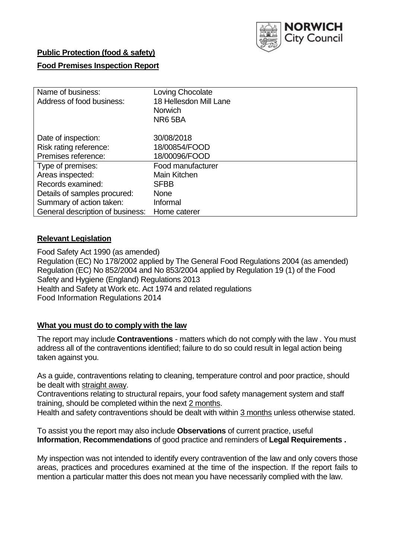

# **Public Protection (food & safety)**

## **Food Premises Inspection Report**

| Name of business:                | Loving Chocolate       |  |  |  |  |  |
|----------------------------------|------------------------|--|--|--|--|--|
| Address of food business:        | 18 Hellesdon Mill Lane |  |  |  |  |  |
|                                  | <b>Norwich</b>         |  |  |  |  |  |
|                                  | NR65BA                 |  |  |  |  |  |
| Date of inspection:              | 30/08/2018             |  |  |  |  |  |
| Risk rating reference:           | 18/00854/FOOD          |  |  |  |  |  |
| Premises reference:              | 18/00096/FOOD          |  |  |  |  |  |
| Type of premises:                | Food manufacturer      |  |  |  |  |  |
| Areas inspected:                 | Main Kitchen           |  |  |  |  |  |
| Records examined:                | <b>SFBB</b>            |  |  |  |  |  |
| Details of samples procured:     | <b>None</b>            |  |  |  |  |  |
| Summary of action taken:         | Informal               |  |  |  |  |  |
| General description of business: | Home caterer           |  |  |  |  |  |

### **Relevant Legislation**

Food Safety Act 1990 (as amended) Regulation (EC) No 178/2002 applied by The General Food Regulations 2004 (as amended) Regulation (EC) No 852/2004 and No 853/2004 applied by Regulation 19 (1) of the Food Safety and Hygiene (England) Regulations 2013 Health and Safety at Work etc. Act 1974 and related regulations Food Information Regulations 2014

## **What you must do to comply with the law**

The report may include **Contraventions** - matters which do not comply with the law . You must address all of the contraventions identified; failure to do so could result in legal action being taken against you.

As a guide, contraventions relating to cleaning, temperature control and poor practice, should be dealt with straight away.

Contraventions relating to structural repairs, your food safety management system and staff training, should be completed within the next 2 months.

Health and safety contraventions should be dealt with within 3 months unless otherwise stated.

To assist you the report may also include **Observations** of current practice, useful **Information**, **Recommendations** of good practice and reminders of **Legal Requirements .**

My inspection was not intended to identify every contravention of the law and only covers those areas, practices and procedures examined at the time of the inspection. If the report fails to mention a particular matter this does not mean you have necessarily complied with the law.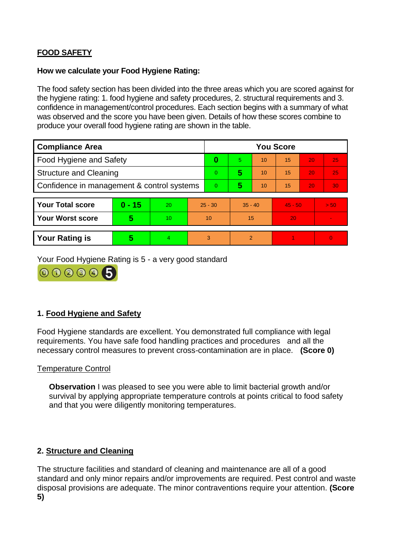# **FOOD SAFETY**

## **How we calculate your Food Hygiene Rating:**

The food safety section has been divided into the three areas which you are scored against for the hygiene rating: 1. food hygiene and safety procedures, 2. structural requirements and 3. confidence in management/control procedures. Each section begins with a summary of what was observed and the score you have been given. Details of how these scores combine to produce your overall food hygiene rating are shown in the table.

| <b>Compliance Area</b>                     |          |                  |    | <b>You Score</b> |                |    |           |    |          |  |  |
|--------------------------------------------|----------|------------------|----|------------------|----------------|----|-----------|----|----------|--|--|
| Food Hygiene and Safety                    |          |                  |    | 0                | 5              | 10 | 15        | 20 | 25       |  |  |
| <b>Structure and Cleaning</b>              |          |                  |    | $\Omega$         | 5              | 10 | 15        | 20 | 25       |  |  |
| Confidence in management & control systems |          |                  |    | 0                | 5              | 10 | 15        | 20 | 30       |  |  |
|                                            |          |                  |    |                  |                |    |           |    |          |  |  |
| <b>Your Total score</b>                    | $0 - 15$ | 20               |    | $25 - 30$        | $35 - 40$      |    | $45 - 50$ |    | > 50     |  |  |
| <b>Your Worst score</b>                    | 5        | 10 <sup>10</sup> | 10 |                  | 15             |    | 20        |    |          |  |  |
|                                            |          |                  |    |                  |                |    |           |    |          |  |  |
| <b>Your Rating is</b>                      | 5        | $\overline{4}$   | 3  |                  | $\overline{2}$ |    |           |    | $\Omega$ |  |  |

Your Food Hygiene Rating is 5 - a very good standard



# **1. Food Hygiene and Safety**

Food Hygiene standards are excellent. You demonstrated full compliance with legal requirements. You have safe food handling practices and procedures and all the necessary control measures to prevent cross-contamination are in place. **(Score 0)**

# Temperature Control

**Observation** I was pleased to see you were able to limit bacterial growth and/or survival by applying appropriate temperature controls at points critical to food safety and that you were diligently monitoring temperatures.

# **2. Structure and Cleaning**

The structure facilities and standard of cleaning and maintenance are all of a good standard and only minor repairs and/or improvements are required. Pest control and waste disposal provisions are adequate. The minor contraventions require your attention. **(Score 5)**